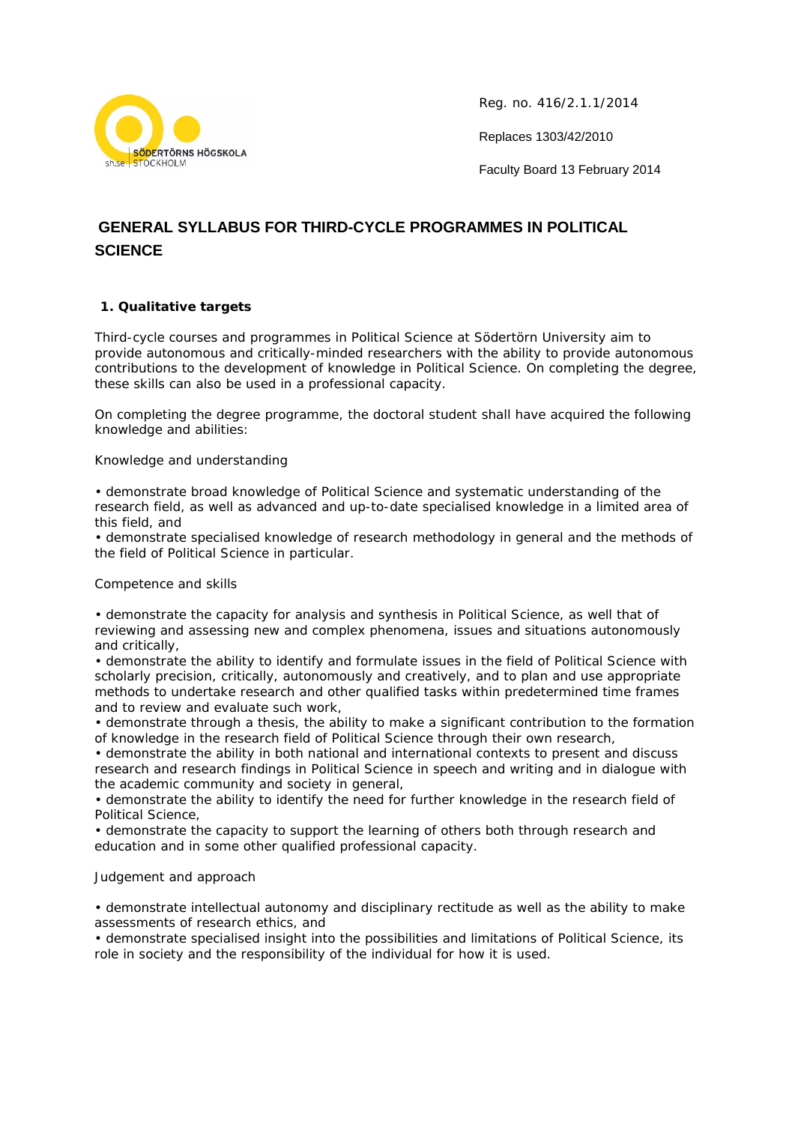

Reg. no. 416/2.1.1/2014

Replaces 1303/42/2010

Faculty Board 13 February 2014

# **GENERAL SYLLABUS FOR THIRD-CYCLE PROGRAMMES IN POLITICAL SCIENCE**

# **1. Qualitative targets**

Third-cycle courses and programmes in Political Science at Södertörn University aim to provide autonomous and critically-minded researchers with the ability to provide autonomous contributions to the development of knowledge in Political Science. On completing the degree, these skills can also be used in a professional capacity.

On completing the degree programme, the doctoral student shall have acquired the following knowledge and abilities:

## *Knowledge and understanding*

• demonstrate broad knowledge of Political Science and systematic understanding of the research field, as well as advanced and up-to-date specialised knowledge in a limited area of this field, and

• demonstrate specialised knowledge of research methodology in general and the methods of the field of Political Science in particular.

#### *Competence and skills*

• demonstrate the capacity for analysis and synthesis in Political Science, as well that of reviewing and assessing new and complex phenomena, issues and situations autonomously and critically,

• demonstrate the ability to identify and formulate issues in the field of Political Science with scholarly precision, critically, autonomously and creatively, and to plan and use appropriate methods to undertake research and other qualified tasks within predetermined time frames and to review and evaluate such work,

• demonstrate through a thesis, the ability to make a significant contribution to the formation of knowledge in the research field of Political Science through their own research,

• demonstrate the ability in both national and international contexts to present and discuss research and research findings in Political Science in speech and writing and in dialogue with the academic community and society in general,

• demonstrate the ability to identify the need for further knowledge in the research field of Political Science,

• demonstrate the capacity to support the learning of others both through research and education and in some other qualified professional capacity.

## *Judgement and approach*

• demonstrate intellectual autonomy and disciplinary rectitude as well as the ability to make assessments of research ethics, and

• demonstrate specialised insight into the possibilities and limitations of Political Science, its role in society and the responsibility of the individual for how it is used.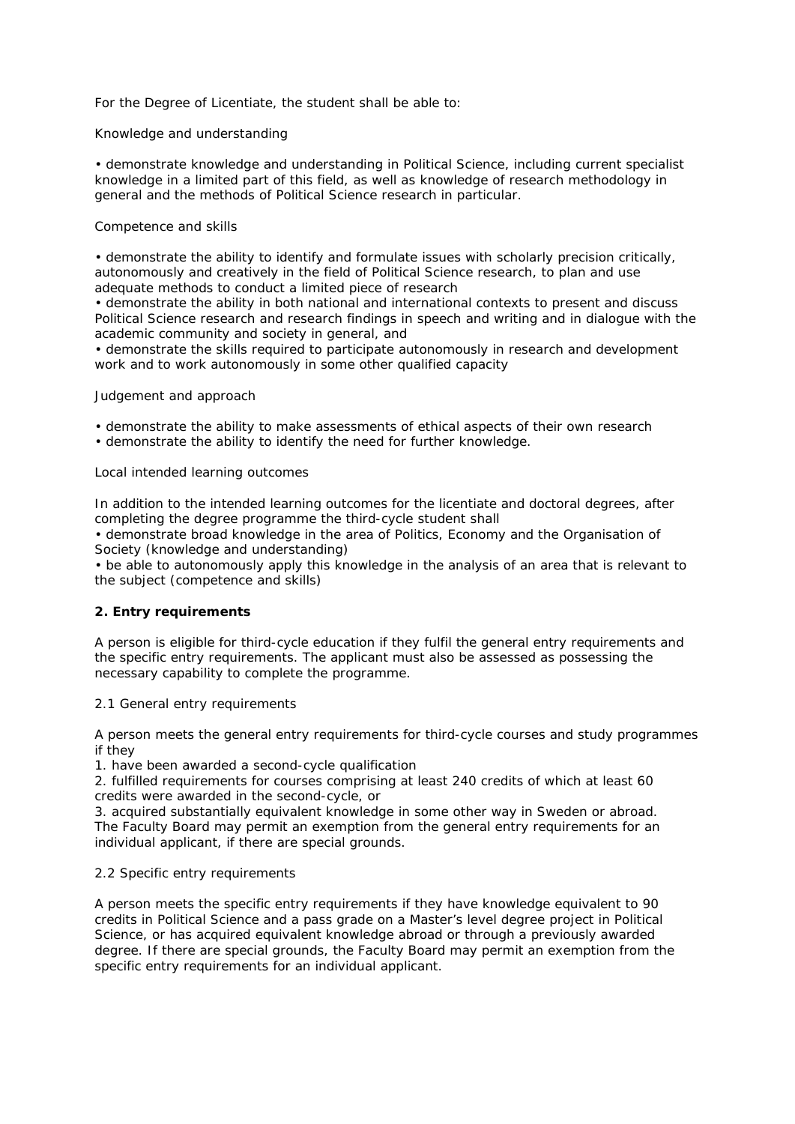For the Degree of Licentiate, the student shall be able to:

## *Knowledge and understanding*

• demonstrate knowledge and understanding in Political Science, including current specialist knowledge in a limited part of this field, as well as knowledge of research methodology in general and the methods of Political Science research in particular.

#### *Competence and skills*

• demonstrate the ability to identify and formulate issues with scholarly precision critically, autonomously and creatively in the field of Political Science research, to plan and use adequate methods to conduct a limited piece of research

• demonstrate the ability in both national and international contexts to present and discuss Political Science research and research findings in speech and writing and in dialogue with the academic community and society in general, and

• demonstrate the skills required to participate autonomously in research and development work and to work autonomously in some other qualified capacity

#### *Judgement and approach*

- demonstrate the ability to make assessments of ethical aspects of their own research
- demonstrate the ability to identify the need for further knowledge.

## *Local intended learning outcomes*

In addition to the intended learning outcomes for the licentiate and doctoral degrees, after completing the degree programme the third-cycle student shall

• demonstrate broad knowledge in the area of Politics, Economy and the Organisation of Society (knowledge and understanding)

• be able to autonomously apply this knowledge in the analysis of an area that is relevant to the subject (competence and skills)

## **2. Entry requirements**

A person is eligible for third-cycle education if they fulfil the general entry requirements and the specific entry requirements. The applicant must also be assessed as possessing the necessary capability to complete the programme.

#### *2.1 General entry requirements*

A person meets the general entry requirements for third-cycle courses and study programmes if they

1. have been awarded a second-cycle qualification

2. fulfilled requirements for courses comprising at least 240 credits of which at least 60 credits were awarded in the second-cycle, or

3. acquired substantially equivalent knowledge in some other way in Sweden or abroad. The Faculty Board may permit an exemption from the general entry requirements for an individual applicant, if there are special grounds.

## *2.2 Specific entry requirements*

A person meets the specific entry requirements if they have knowledge equivalent to 90 credits in Political Science and a pass grade on a Master's level degree project in Political Science, or has acquired equivalent knowledge abroad or through a previously awarded degree. If there are special grounds, the Faculty Board may permit an exemption from the specific entry requirements for an individual applicant.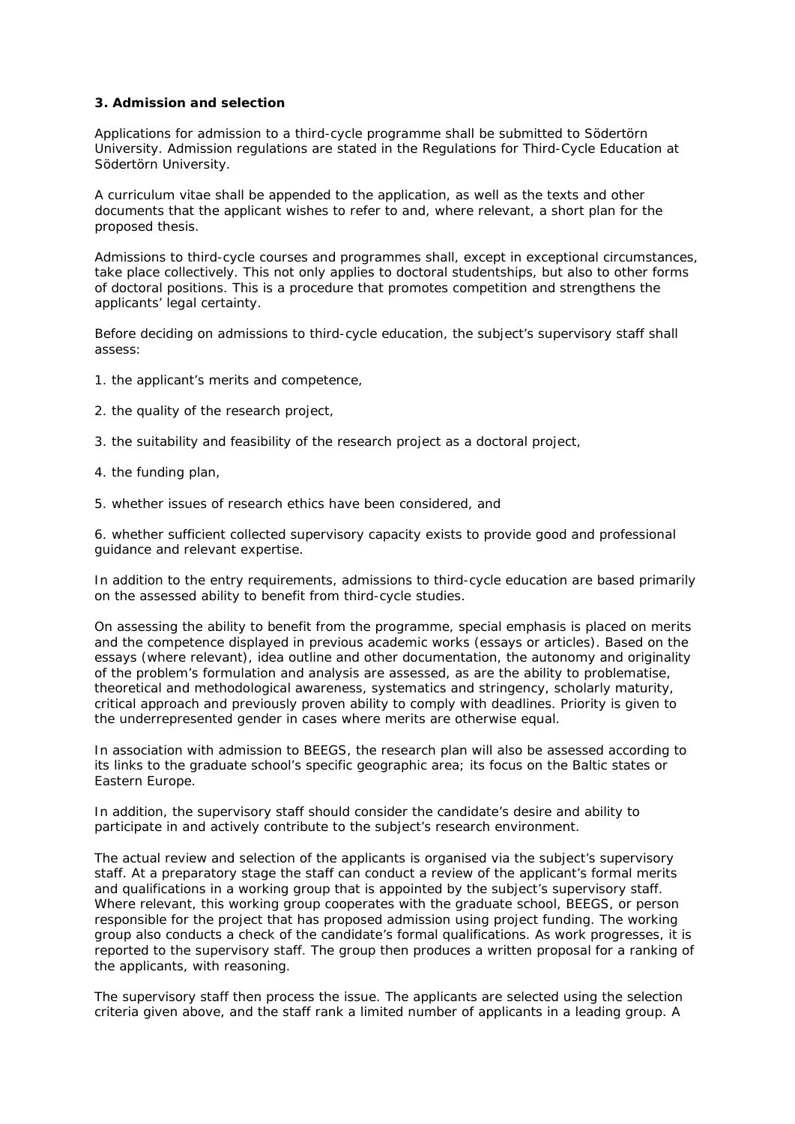#### **3. Admission and selection**

Applications for admission to a third-cycle programme shall be submitted to Södertörn University. Admission regulations are stated in the Regulations for Third-Cycle Education at Södertörn University.

A curriculum vitae shall be appended to the application, as well as the texts and other documents that the applicant wishes to refer to and, where relevant, a short plan for the proposed thesis.

Admissions to third-cycle courses and programmes shall, except in exceptional circumstances, take place collectively. This not only applies to doctoral studentships, but also to other forms of doctoral positions. This is a procedure that promotes competition and strengthens the applicants' legal certainty.

Before deciding on admissions to third-cycle education, the subject's supervisory staff shall assess:

- 1. the applicant's merits and competence,
- 2. the quality of the research project,
- 3. the suitability and feasibility of the research project as a doctoral project,
- 4. the funding plan,
- 5. whether issues of research ethics have been considered, and

6. whether sufficient collected supervisory capacity exists to provide good and professional guidance and relevant expertise.

In addition to the entry requirements, admissions to third-cycle education are based primarily on the assessed ability to benefit from third-cycle studies.

On assessing the ability to benefit from the programme, special emphasis is placed on merits and the competence displayed in previous academic works (essays or articles). Based on the essays (where relevant), idea outline and other documentation, the autonomy and originality of the problem's formulation and analysis are assessed, as are the ability to problematise, theoretical and methodological awareness, systematics and stringency, scholarly maturity, critical approach and previously proven ability to comply with deadlines. Priority is given to the underrepresented gender in cases where merits are otherwise equal.

In association with admission to BEEGS, the research plan will also be assessed according to its links to the graduate school's specific geographic area; its focus on the Baltic states or Eastern Europe.

In addition, the supervisory staff should consider the candidate's desire and ability to participate in and actively contribute to the subject's research environment.

The actual review and selection of the applicants is organised via the subject's supervisory staff. At a preparatory stage the staff can conduct a review of the applicant's formal merits and qualifications in a working group that is appointed by the subject's supervisory staff. Where relevant, this working group cooperates with the graduate school, BEEGS, or person responsible for the project that has proposed admission using project funding. The working group also conducts a check of the candidate's formal qualifications. As work progresses, it is reported to the supervisory staff. The group then produces a written proposal for a ranking of the applicants, with reasoning.

The supervisory staff then process the issue. The applicants are selected using the selection criteria given above, and the staff rank a limited number of applicants in a leading group. A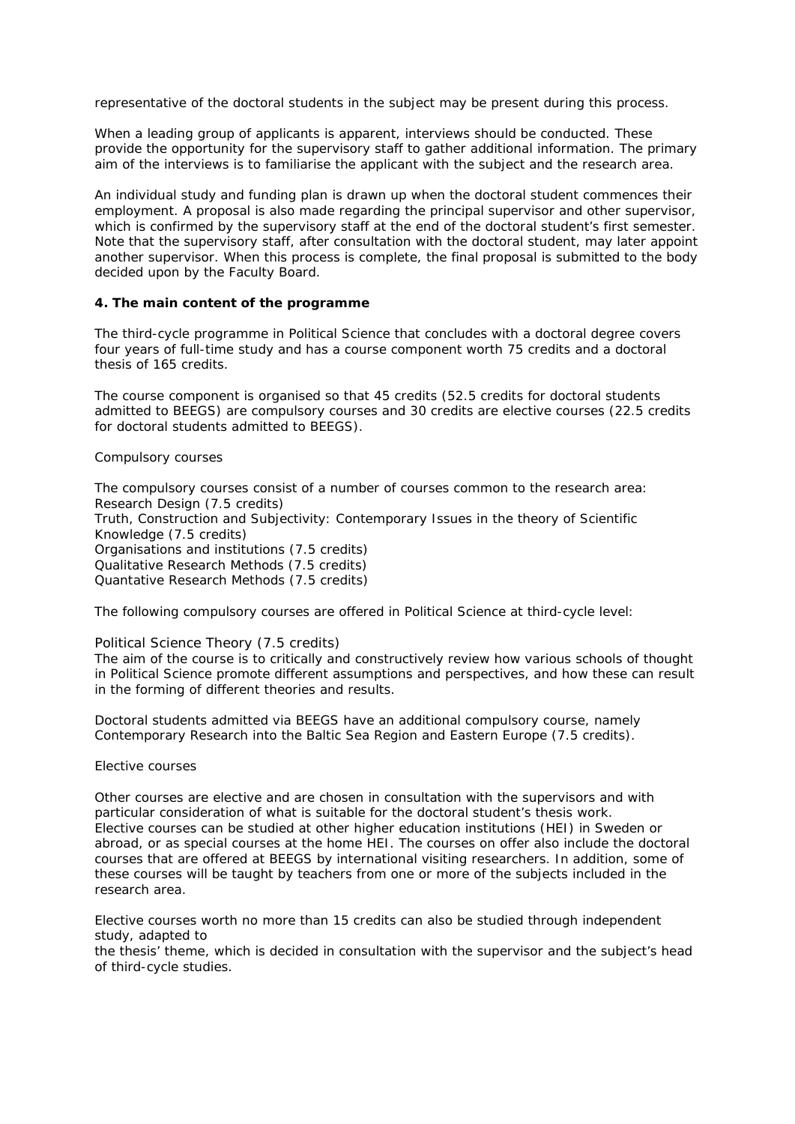representative of the doctoral students in the subject may be present during this process.

When a leading group of applicants is apparent, interviews should be conducted. These provide the opportunity for the supervisory staff to gather additional information. The primary aim of the interviews is to familiarise the applicant with the subject and the research area.

An individual study and funding plan is drawn up when the doctoral student commences their employment. A proposal is also made regarding the principal supervisor and other supervisor, which is confirmed by the supervisory staff at the end of the doctoral student's first semester. Note that the supervisory staff, after consultation with the doctoral student, may later appoint another supervisor. When this process is complete, the final proposal is submitted to the body decided upon by the Faculty Board.

#### **4. The main content of the programme**

The third-cycle programme in Political Science that concludes with a doctoral degree covers four years of full-time study and has a course component worth 75 credits and a doctoral thesis of 165 credits.

The course component is organised so that 45 credits (52.5 credits for doctoral students admitted to BEEGS) are compulsory courses and 30 credits are elective courses (22.5 credits for doctoral students admitted to BEEGS).

#### Compulsory courses

The compulsory courses consist of a number of courses common to the research area: *Research Design* (7.5 credits) *Truth, Construction and Subjectivity: Contemporary Issues in the theory of Scientific Knowledge* (7.5 credits) *Organisations and institutions* (7.5 credits) *Qualitative Research Methods* (7.5 credits) *Quantative Research Methods* (7.5 credits)

The following compulsory courses are offered in Political Science at third-cycle level:

#### *Political Science Theory* (7.5 credits)

The aim of the course is to critically and constructively review how various schools of thought in Political Science promote different assumptions and perspectives, and how these can result in the forming of different theories and results.

Doctoral students admitted via BEEGS have an additional compulsory course, namely *Contemporary Research into the Baltic Sea Region and Eastern Europe* (7.5 credits).

#### Elective courses

Other courses are elective and are chosen in consultation with the supervisors and with particular consideration of what is suitable for the doctoral student's thesis work. Elective courses can be studied at other higher education institutions (HEI) in Sweden or abroad, or as special courses at the home HEI. The courses on offer also include the doctoral courses that are offered at BEEGS by international visiting researchers. In addition, some of these courses will be taught by teachers from one or more of the subjects included in the research area.

Elective courses worth no more than 15 credits can also be studied through independent study, adapted to

the thesis' theme, which is decided in consultation with the supervisor and the subject's head of third-cycle studies.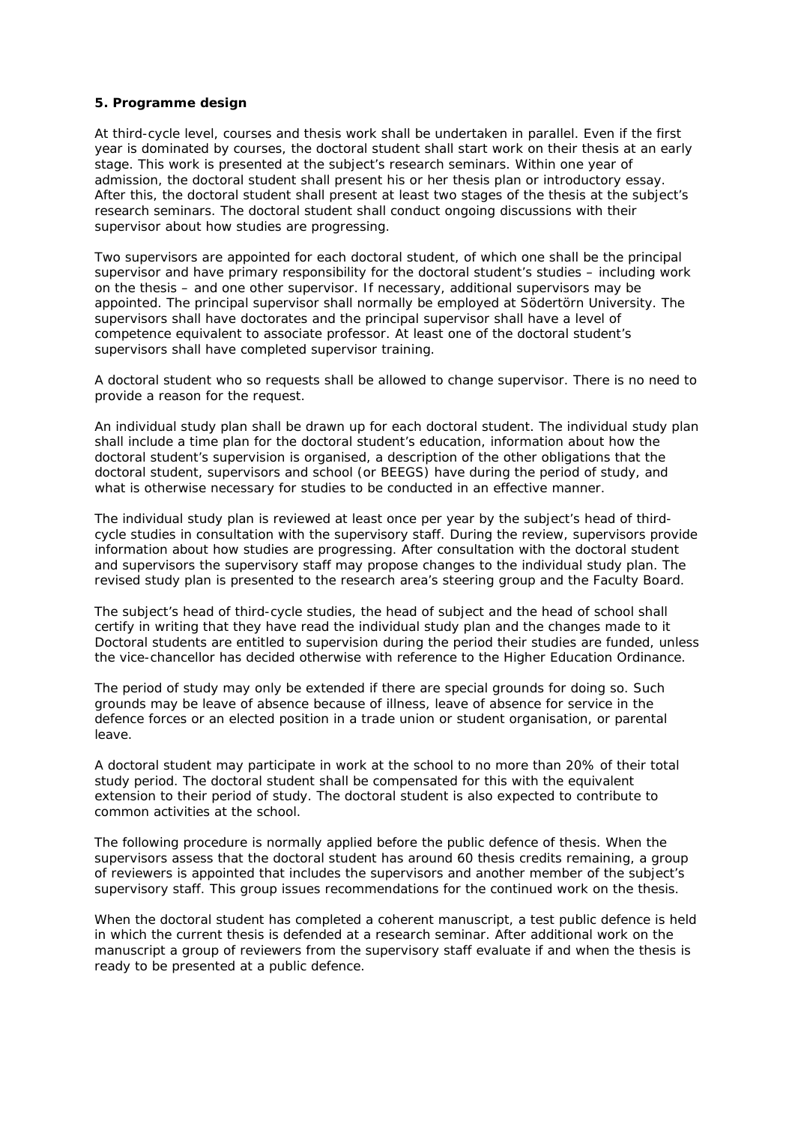#### **5. Programme design**

At third-cycle level, courses and thesis work shall be undertaken in parallel. Even if the first year is dominated by courses, the doctoral student shall start work on their thesis at an early stage. This work is presented at the subject's research seminars. Within one year of admission, the doctoral student shall present his or her thesis plan or introductory essay. After this, the doctoral student shall present at least two stages of the thesis at the subject's research seminars. The doctoral student shall conduct ongoing discussions with their supervisor about how studies are progressing.

Two supervisors are appointed for each doctoral student, of which one shall be the principal supervisor and have primary responsibility for the doctoral student's studies – including work on the thesis – and one other supervisor. If necessary, additional supervisors may be appointed. The principal supervisor shall normally be employed at Södertörn University. The supervisors shall have doctorates and the principal supervisor shall have a level of competence equivalent to associate professor. At least one of the doctoral student's supervisors shall have completed supervisor training.

A doctoral student who so requests shall be allowed to change supervisor. There is no need to provide a reason for the request.

An individual study plan shall be drawn up for each doctoral student. The individual study plan shall include a time plan for the doctoral student's education, information about how the doctoral student's supervision is organised, a description of the other obligations that the doctoral student, supervisors and school (or BEEGS) have during the period of study, and what is otherwise necessary for studies to be conducted in an effective manner.

The individual study plan is reviewed at least once per year by the subject's head of thirdcycle studies in consultation with the supervisory staff. During the review, supervisors provide information about how studies are progressing. After consultation with the doctoral student and supervisors the supervisory staff may propose changes to the individual study plan. The revised study plan is presented to the research area's steering group and the Faculty Board.

The subject's head of third-cycle studies, the head of subject and the head of school shall certify in writing that they have read the individual study plan and the changes made to it Doctoral students are entitled to supervision during the period their studies are funded, unless the vice-chancellor has decided otherwise with reference to the Higher Education Ordinance.

The period of study may only be extended if there are special grounds for doing so. Such grounds may be leave of absence because of illness, leave of absence for service in the defence forces or an elected position in a trade union or student organisation, or parental leave.

A doctoral student may participate in work at the school to no more than 20% of their total study period. The doctoral student shall be compensated for this with the equivalent extension to their period of study. The doctoral student is also expected to contribute to common activities at the school.

The following procedure is normally applied before the public defence of thesis. When the supervisors assess that the doctoral student has around 60 thesis credits remaining, a group of reviewers is appointed that includes the supervisors and another member of the subject's supervisory staff. This group issues recommendations for the continued work on the thesis.

When the doctoral student has completed a coherent manuscript, a test public defence is held in which the current thesis is defended at a research seminar. After additional work on the manuscript a group of reviewers from the supervisory staff evaluate if and when the thesis is ready to be presented at a public defence.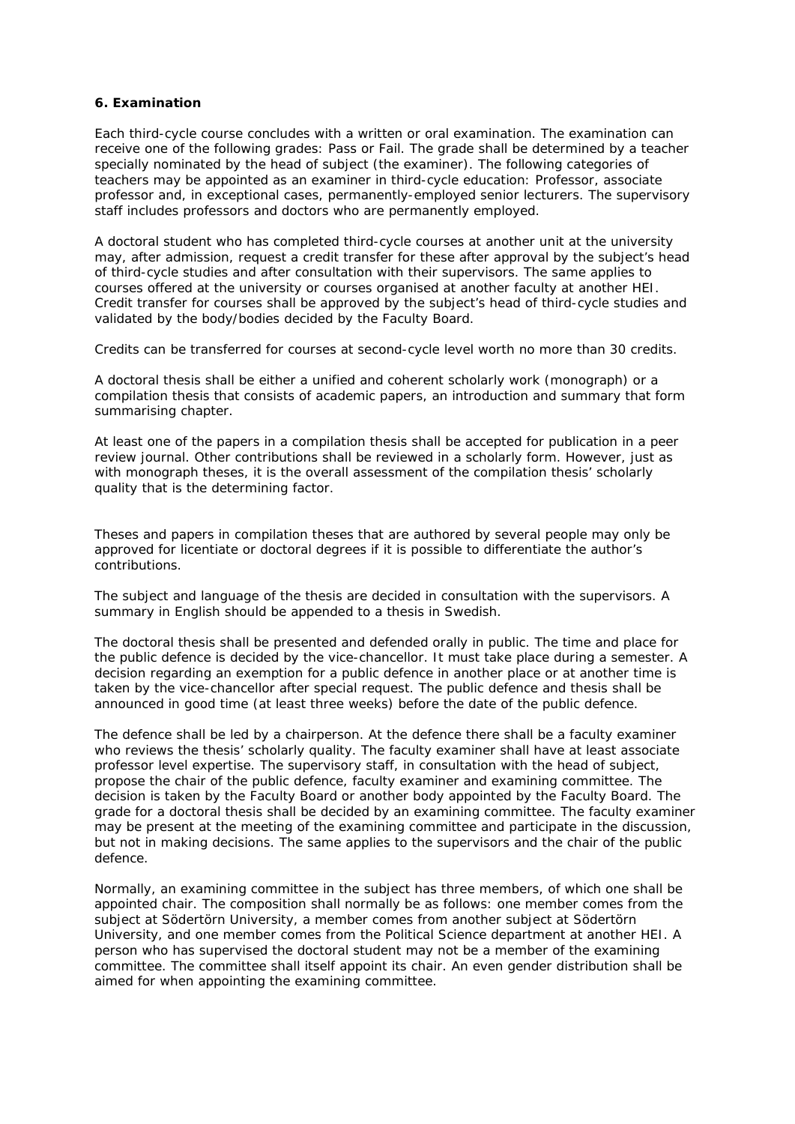#### **6. Examination**

Each third-cycle course concludes with a written or oral examination. The examination can receive one of the following grades: Pass or Fail. The grade shall be determined by a teacher specially nominated by the head of subject (the examiner). The following categories of teachers may be appointed as an examiner in third-cycle education: Professor, associate professor and, in exceptional cases, permanently-employed senior lecturers. The supervisory staff includes professors and doctors who are permanently employed.

A doctoral student who has completed third-cycle courses at another unit at the university may, after admission, request a credit transfer for these after approval by the subject's head of third-cycle studies and after consultation with their supervisors. The same applies to courses offered at the university or courses organised at another faculty at another HEI. Credit transfer for courses shall be approved by the subject's head of third-cycle studies and validated by the body/bodies decided by the Faculty Board.

Credits can be transferred for courses at second-cycle level worth no more than 30 credits.

A doctoral thesis shall be either a unified and coherent scholarly work (monograph) or a compilation thesis that consists of academic papers, an introduction and summary that form summarising chapter.

At least one of the papers in a compilation thesis shall be accepted for publication in a peer review journal. Other contributions shall be reviewed in a scholarly form. However, just as with monograph theses, it is the overall assessment of the compilation thesis' scholarly quality that is the determining factor.

Theses and papers in compilation theses that are authored by several people may only be approved for licentiate or doctoral degrees if it is possible to differentiate the author's contributions.

The subject and language of the thesis are decided in consultation with the supervisors. A summary in English should be appended to a thesis in Swedish.

The doctoral thesis shall be presented and defended orally in public. The time and place for the public defence is decided by the vice-chancellor. It must take place during a semester. A decision regarding an exemption for a public defence in another place or at another time is taken by the vice-chancellor after special request. The public defence and thesis shall be announced in good time (at least three weeks) before the date of the public defence.

The defence shall be led by a chairperson. At the defence there shall be a faculty examiner who reviews the thesis' scholarly quality. The faculty examiner shall have at least associate professor level expertise. The supervisory staff, in consultation with the head of subject, propose the chair of the public defence, faculty examiner and examining committee. The decision is taken by the Faculty Board or another body appointed by the Faculty Board. The grade for a doctoral thesis shall be decided by an examining committee. The faculty examiner may be present at the meeting of the examining committee and participate in the discussion, but not in making decisions. The same applies to the supervisors and the chair of the public defence.

Normally, an examining committee in the subject has three members, of which one shall be appointed chair. The composition shall normally be as follows: one member comes from the subject at Södertörn University, a member comes from another subject at Södertörn University, and one member comes from the Political Science department at another HEI. A person who has supervised the doctoral student may not be a member of the examining committee. The committee shall itself appoint its chair. An even gender distribution shall be aimed for when appointing the examining committee.